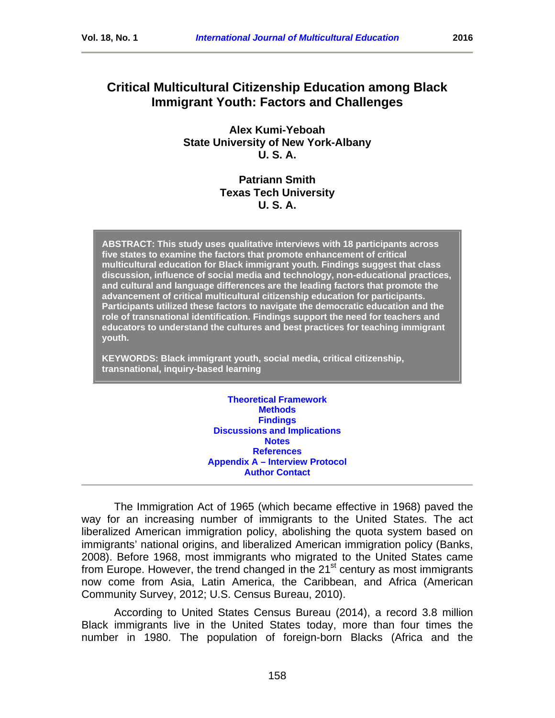# **Critical Multicultural Citizenship Education among Black Immigrant Youth: Factors and Challenges**

**Alex Kumi-Yeboah State University of New York-Albany U. S. A.**

## **Patriann Smith Texas Tech University U. S. A.**

**ABSTRACT: This study uses qualitative interviews with 18 participants across five states to examine the factors that promote enhancement of critical multicultural education for Black immigrant youth. Findings suggest that class discussion, influence of social media and technology, non-educational practices, and cultural and language differences are the leading factors that promote the advancement of critical multicultural citizenship education for participants. Participants utilized these factors to navigate the democratic education and the role of transnational identification. Findings support the need for teachers and educators to understand the cultures and best practices for teaching immigrant youth.**

**KEYWORDS: Black immigrant youth, social media, critical citizenship, transnational, inquiry-based learning**

> **[Theoretical Framework](#page-2-0) [Methods](#page-4-0) [Findings](#page-8-0) Discussions [and Implications](#page-14-0) [Notes](#page-16-0) [References](#page-16-1) Appendix A – [Interview Protocol](#page-21-0) Author Contact**

The Immigration Act of 1965 (which became effective in 1968) paved the way for an increasing number of immigrants to the United States. The act liberalized American immigration policy, abolishing the quota system based on immigrants' national origins, and liberalized American immigration policy (Banks, 2008). Before 1968, most immigrants who migrated to the United States came from Europe. However, the trend changed in the  $21<sup>st</sup>$  century as most immigrants now come from Asia, Latin America, the Caribbean, and Africa (American Community Survey, 2012; U.S. Census Bureau, 2010).

According to United States Census Bureau (2014), a record 3.8 million Black immigrants live in the United States today, more than four times the number in 1980. The population of foreign-born Blacks (Africa and the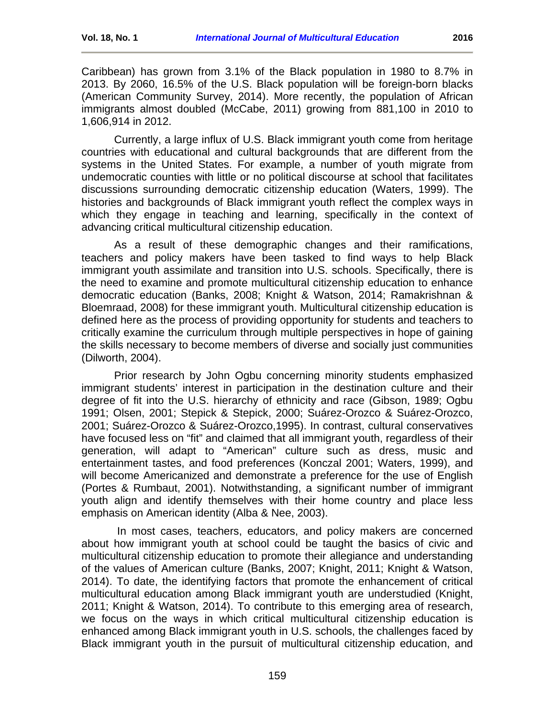Currently, a large influx of U.S. Black immigrant youth come from heritage countries with educational and cultural backgrounds that are different from the systems in the United States. For example, a number of youth migrate from undemocratic counties with little or no political discourse at school that facilitates discussions surrounding democratic citizenship education (Waters, 1999). The histories and backgrounds of Black immigrant youth reflect the complex ways in which they engage in teaching and learning, specifically in the context of advancing critical multicultural citizenship education.

As a result of these demographic changes and their ramifications, teachers and policy makers have been tasked to find ways to help Black immigrant youth assimilate and transition into U.S. schools. Specifically, there is the need to examine and promote multicultural citizenship education to enhance democratic education (Banks, 2008; Knight & Watson, 2014; Ramakrishnan & Bloemraad, 2008) for these immigrant youth. Multicultural citizenship education is defined here as the process of providing opportunity for students and teachers to critically examine the curriculum through multiple perspectives in hope of gaining the skills necessary to become members of diverse and socially just communities (Dilworth, 2004).

Prior research by John Ogbu concerning minority students emphasized immigrant students' interest in participation in the destination culture and their degree of fit into the U.S. hierarchy of ethnicity and race (Gibson, 1989; Ogbu 1991; Olsen, 2001; Stepick & Stepick, 2000; Suárez-Orozco & Suárez-Orozco, 2001; Suárez-Orozco & Suárez-Orozco,1995). In contrast, cultural conservatives have focused less on "fit" and claimed that all immigrant youth, regardless of their generation, will adapt to "American" culture such as dress, music and entertainment tastes, and food preferences (Konczal 2001; Waters, 1999), and will become Americanized and demonstrate a preference for the use of English (Portes & Rumbaut, 2001). Notwithstanding, a significant number of immigrant youth align and identify themselves with their home country and place less emphasis on American identity (Alba & Nee, 2003).

In most cases, teachers, educators, and policy makers are concerned about how immigrant youth at school could be taught the basics of civic and multicultural citizenship education to promote their allegiance and understanding of the values of American culture (Banks, 2007; Knight, 2011; Knight & Watson, 2014). To date, the identifying factors that promote the enhancement of critical multicultural education among Black immigrant youth are understudied (Knight, 2011; Knight & Watson, 2014). To contribute to this emerging area of research, we focus on the ways in which critical multicultural citizenship education is enhanced among Black immigrant youth in U.S. schools, the challenges faced by Black immigrant youth in the pursuit of multicultural citizenship education, and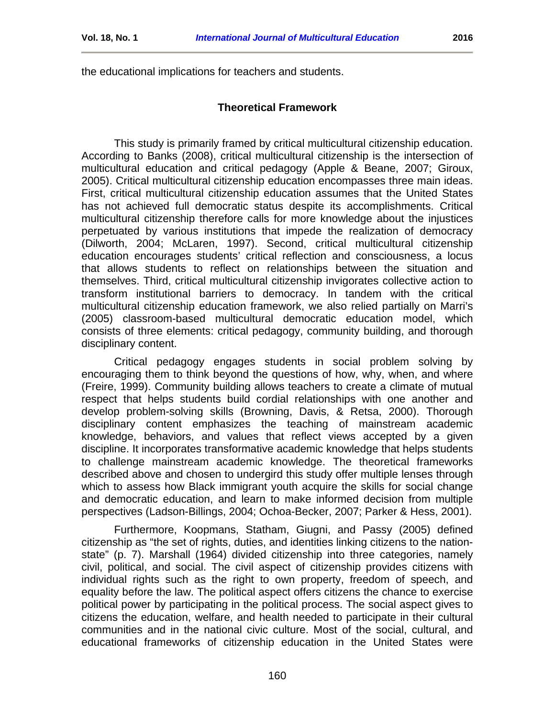<span id="page-2-0"></span>the educational implications for teachers and students.

#### **Theoretical Framework**

This study is primarily framed by critical multicultural citizenship education. According to Banks (2008), critical multicultural citizenship is the intersection of multicultural education and critical pedagogy (Apple & Beane, 2007; Giroux, 2005). Critical multicultural citizenship education encompasses three main ideas. First, critical multicultural citizenship education assumes that the United States has not achieved full democratic status despite its accomplishments. Critical multicultural citizenship therefore calls for more knowledge about the injustices perpetuated by various institutions that impede the realization of democracy (Dilworth, 2004; McLaren, 1997). Second, critical multicultural citizenship education encourages students' critical reflection and consciousness, a locus that allows students to reflect on relationships between the situation and themselves. Third, critical multicultural citizenship invigorates collective action to transform institutional barriers to democracy. In tandem with the critical multicultural citizenship education framework, we also relied partially on Marri's (2005) classroom-based multicultural democratic education model, which consists of three elements: critical pedagogy, community building, and thorough disciplinary content.

Critical pedagogy engages students in social problem solving by encouraging them to think beyond the questions of how, why, when, and where (Freire, 1999). Community building allows teachers to create a climate of mutual respect that helps students build cordial relationships with one another and develop problem-solving skills (Browning, Davis, & Retsa, 2000). Thorough disciplinary content emphasizes the teaching of mainstream academic knowledge, behaviors, and values that reflect views accepted by a given discipline. It incorporates transformative academic knowledge that helps students to challenge mainstream academic knowledge. The theoretical frameworks described above and chosen to undergird this study offer multiple lenses through which to assess how Black immigrant youth acquire the skills for social change and democratic education, and learn to make informed decision from multiple perspectives (Ladson-Billings, 2004; Ochoa-Becker, 2007; Parker & Hess, 2001).

Furthermore, Koopmans, Statham, Giugni, and Passy (2005) defined citizenship as "the set of rights, duties, and identities linking citizens to the nationstate" (p. 7). Marshall (1964) divided citizenship into three categories, namely civil, political, and social. The civil aspect of citizenship provides citizens with individual rights such as the right to own property, freedom of speech, and equality before the law. The political aspect offers citizens the chance to exercise political power by participating in the political process. The social aspect gives to citizens the education, welfare, and health needed to participate in their cultural communities and in the national civic culture. Most of the social, cultural, and educational frameworks of citizenship education in the United States were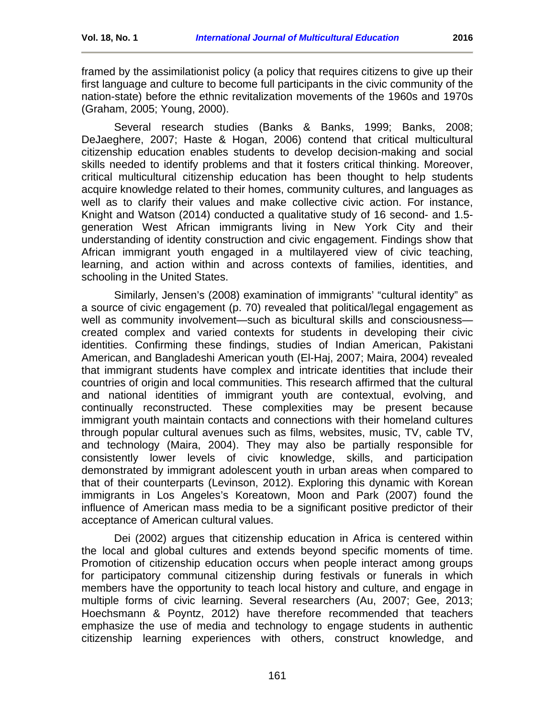framed by the assimilationist policy (a policy that requires citizens to give up their first language and culture to become full participants in the civic community of the nation-state) before the ethnic revitalization movements of the 1960s and 1970s (Graham, 2005; Young, 2000).

Several research studies (Banks & Banks, 1999; Banks, 2008; DeJaeghere, 2007; Haste & Hogan, 2006) contend that critical multicultural citizenship education enables students to develop decision-making and social skills needed to identify problems and that it fosters critical thinking. Moreover, critical multicultural citizenship education has been thought to help students acquire knowledge related to their homes, community cultures, and languages as well as to clarify their values and make collective civic action. For instance, Knight and Watson (2014) conducted a qualitative study of 16 second- and 1.5 generation West African immigrants living in New York City and their understanding of identity construction and civic engagement. Findings show that African immigrant youth engaged in a multilayered view of civic teaching, learning, and action within and across contexts of families, identities, and schooling in the United States.

Similarly, Jensen's (2008) examination of immigrants' "cultural identity" as a source of civic engagement (p. 70) revealed that political/legal engagement as well as community involvement—such as bicultural skills and consciousness created complex and varied contexts for students in developing their civic identities. Confirming these findings, studies of Indian American, Pakistani American, and Bangladeshi American youth (El-Haj, 2007; Maira, 2004) revealed that immigrant students have complex and intricate identities that include their countries of origin and local communities. This research affirmed that the cultural and national identities of immigrant youth are contextual, evolving, and continually reconstructed. These complexities may be present because immigrant youth maintain contacts and connections with their homeland cultures through popular cultural avenues such as films, websites, music, TV, cable TV, and technology (Maira, 2004). They may also be partially responsible for consistently lower levels of civic knowledge, skills, and participation demonstrated by immigrant adolescent youth in urban areas when compared to that of their counterparts (Levinson, 2012). Exploring this dynamic with Korean immigrants in Los Angeles's Koreatown, Moon and Park (2007) found the influence of American mass media to be a significant positive predictor of their acceptance of American cultural values.

Dei (2002) argues that citizenship education in Africa is centered within the local and global cultures and extends beyond specific moments of time. Promotion of citizenship education occurs when people interact among groups for participatory communal citizenship during festivals or funerals in which members have the opportunity to teach local history and culture, and engage in multiple forms of civic learning. Several researchers (Au, 2007; Gee, 2013; Hoechsmann & Poyntz, 2012) have therefore recommended that teachers emphasize the use of media and technology to engage students in authentic citizenship learning experiences with others, construct knowledge, and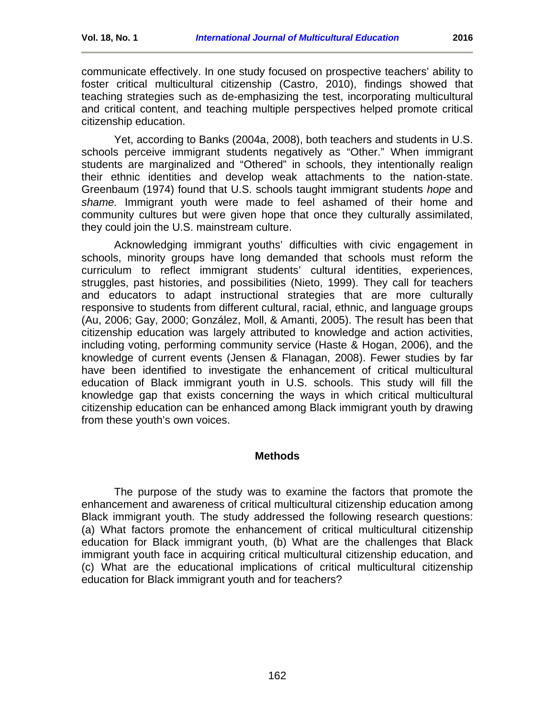communicate effectively. In one study focused on prospective teachers' ability to foster critical multicultural citizenship (Castro, 2010), findings showed that teaching strategies such as de-emphasizing the test, incorporating multicultural and critical content, and teaching multiple perspectives helped promote critical citizenship education.

Yet, according to Banks (2004a, 2008), both teachers and students in U.S. schools perceive immigrant students negatively as "Other." When immigrant students are marginalized and "Othered" in schools, they intentionally realign their ethnic identities and develop weak attachments to the nation-state. Greenbaum (1974) found that U.S. schools taught immigrant students *hope* and *shame.* Immigrant youth were made to feel ashamed of their home and community cultures but were given hope that once they culturally assimilated, they could join the U.S. mainstream culture.

Acknowledging immigrant youths' difficulties with civic engagement in schools, minority groups have long demanded that schools must reform the curriculum to reflect immigrant students' cultural identities, experiences, struggles, past histories, and possibilities (Nieto, 1999). They call for teachers and educators to adapt instructional strategies that are more culturally responsive to students from different cultural, racial, ethnic, and language groups (Au, 2006; Gay, 2000; González, Moll, & Amanti, 2005). The result has been that citizenship education was largely attributed to knowledge and action activities, including voting, performing community service (Haste & Hogan, 2006), and the knowledge of current events (Jensen & Flanagan, 2008). Fewer studies by far have been identified to investigate the enhancement of critical multicultural education of Black immigrant youth in U.S. schools. This study will fill the knowledge gap that exists concerning the ways in which critical multicultural citizenship education can be enhanced among Black immigrant youth by drawing from these youth's own voices.

### **Methods**

<span id="page-4-0"></span>The purpose of the study was to examine the factors that promote the enhancement and awareness of critical multicultural citizenship education among Black immigrant youth. The study addressed the following research questions: (a) What factors promote the enhancement of critical multicultural citizenship education for Black immigrant youth, (b) What are the challenges that Black immigrant youth face in acquiring critical multicultural citizenship education, and (c) What are the educational implications of critical multicultural citizenship education for Black immigrant youth and for teachers?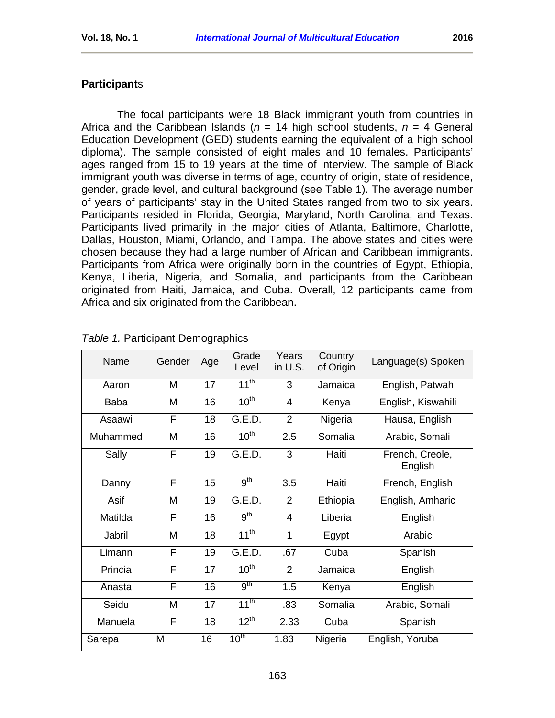## **Participant**s

The focal participants were 18 Black immigrant youth from countries in Africa and the Caribbean Islands (*n* = 14 high school students, *n* = 4 General Education Development (GED) students earning the equivalent of a high school diploma). The sample consisted of eight males and 10 females. Participants' ages ranged from 15 to 19 years at the time of interview. The sample of Black immigrant youth was diverse in terms of age, country of origin, state of residence, gender, grade level, and cultural background (see Table 1). The average number of years of participants' stay in the United States ranged from two to six years. Participants resided in Florida, Georgia, Maryland, North Carolina, and Texas. Participants lived primarily in the major cities of Atlanta, Baltimore, Charlotte, Dallas, Houston, Miami, Orlando, and Tampa. The above states and cities were chosen because they had a large number of African and Caribbean immigrants. Participants from Africa were originally born in the countries of Egypt, Ethiopia, Kenya, Liberia, Nigeria, and Somalia, and participants from the Caribbean originated from Haiti, Jamaica, and Cuba. Overall, 12 participants came from Africa and six originated from the Caribbean.

| Name        | Gender | Age | Grade<br>Level   | Years<br>in U.S. | Country<br>of Origin | Language(s) Spoken         |
|-------------|--------|-----|------------------|------------------|----------------------|----------------------------|
| Aaron       | M      | 17  | $11^{th}$        | 3                | Jamaica              | English, Patwah            |
| <b>Baba</b> | M      | 16  | 10 <sup>th</sup> | $\overline{4}$   | Kenya                | English, Kiswahili         |
| Asaawi      | F      | 18  | G.E.D.           | $\overline{2}$   | Nigeria              | Hausa, English             |
| Muhammed    | M      | 16  | 10 <sup>th</sup> | 2.5              | Somalia              | Arabic, Somali             |
| Sally       | F      | 19  | G.E.D.           | 3                | Haiti                | French, Creole,<br>English |
| Danny       | F      | 15  | 9 <sup>th</sup>  | 3.5              | Haiti                | French, English            |
| Asif        | M      | 19  | G.E.D.           | $\overline{2}$   | Ethiopia             | English, Amharic           |
| Matilda     | F      | 16  | 9 <sup>th</sup>  | $\overline{4}$   | Liberia              | English                    |
| Jabril      | M      | 18  | $11^{th}$        | $\mathbf{1}$     | Egypt                | Arabic                     |
| Limann      | F      | 19  | G.E.D.           | .67              | Cuba                 | Spanish                    |
| Princia     | F      | 17  | 10 <sup>th</sup> | $\overline{2}$   | Jamaica              | English                    |
| Anasta      | F      | 16  | 9 <sup>th</sup>  | 1.5              | Kenya                | English                    |
| Seidu       | M      | 17  | $11^{th}$        | .83              | Somalia              | Arabic, Somali             |
| Manuela     | F      | 18  | $12^{th}$        | 2.33             | Cuba                 | Spanish                    |
| Sarepa      | M      | 16  | 10 <sup>th</sup> | 1.83             | Nigeria              | English, Yoruba            |

### *Table 1.* Participant Demographics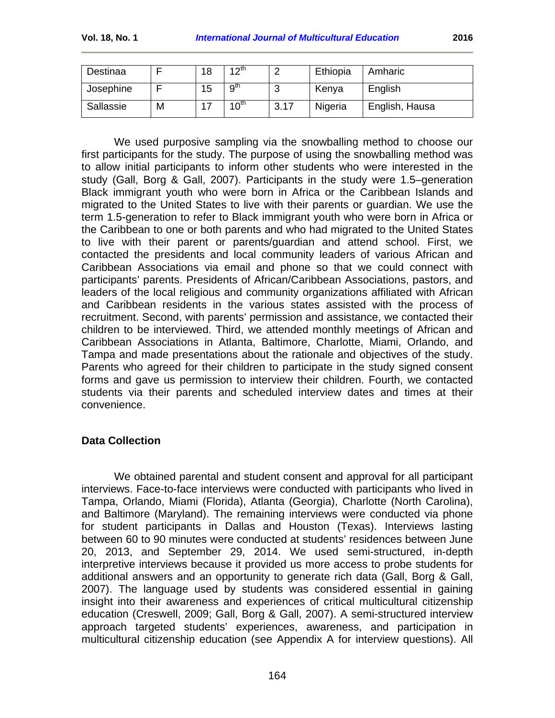| Destinaa  |   | 18 | ⊿ ∧ແ             |      | Ethiopia | Amharic        |
|-----------|---|----|------------------|------|----------|----------------|
| Josephine |   | 15 | 9 <sup>th</sup>  | w    | Kenya    | English        |
| Sallassie | M |    | $10^{\text{th}}$ | 3.17 | Nigeria  | English, Hausa |

We used purposive sampling via the snowballing method to choose our first participants for the study. The purpose of using the snowballing method was to allow initial participants to inform other students who were interested in the study (Gall, Borg & Gall, 2007). Participants in the study were 1.5–generation Black immigrant youth who were born in Africa or the Caribbean Islands and migrated to the United States to live with their parents or guardian. We use the term 1.5-generation to refer to Black immigrant youth who were born in Africa or the Caribbean to one or both parents and who had migrated to the United States to live with their parent or parents/guardian and attend school. First, we contacted the presidents and local community leaders of various African and Caribbean Associations via email and phone so that we could connect with participants' parents. Presidents of African/Caribbean Associations, pastors, and leaders of the local religious and community organizations affiliated with African and Caribbean residents in the various states assisted with the process of recruitment. Second, with parents' permission and assistance, we contacted their children to be interviewed. Third, we attended monthly meetings of African and Caribbean Associations in Atlanta, Baltimore, Charlotte, Miami, Orlando, and Tampa and made presentations about the rationale and objectives of the study. Parents who agreed for their children to participate in the study signed consent forms and gave us permission to interview their children. Fourth, we contacted students via their parents and scheduled interview dates and times at their convenience.

## **Data Collection**

We obtained parental and student consent and approval for all participant interviews. Face-to-face interviews were conducted with participants who lived in Tampa, Orlando, Miami (Florida), Atlanta (Georgia), Charlotte (North Carolina), and Baltimore (Maryland). The remaining interviews were conducted via phone for student participants in Dallas and Houston (Texas). Interviews lasting between 60 to 90 minutes were conducted at students' residences between June 20, 2013, and September 29, 2014. We used semi-structured, in-depth interpretive interviews because it provided us more access to probe students for additional answers and an opportunity to generate rich data (Gall, Borg & Gall, 2007). The language used by students was considered essential in gaining insight into their awareness and experiences of critical multicultural citizenship education (Creswell, 2009; Gall, Borg & Gall, 2007). A semi-structured interview approach targeted students' experiences, awareness, and participation in multicultural citizenship education (see Appendix A for interview questions). All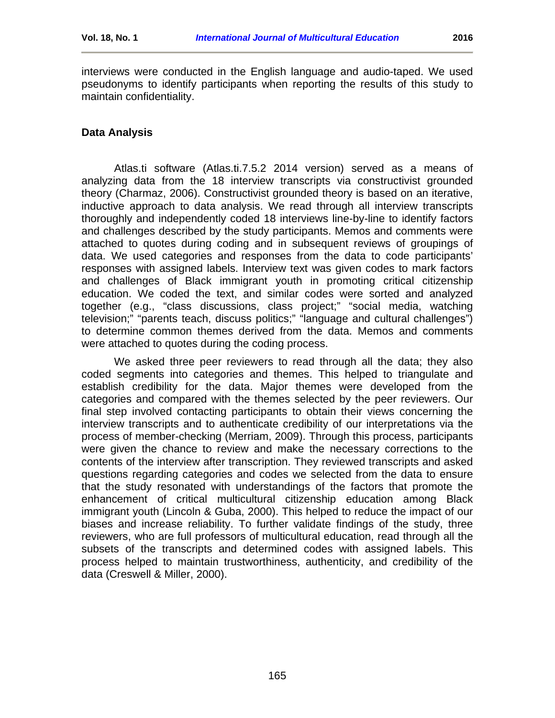interviews were conducted in the English language and audio-taped. We used pseudonyms to identify participants when reporting the results of this study to maintain confidentiality.

## **Data Analysis**

Atlas.ti software (Atlas.ti.7.5.2 2014 version) served as a means of analyzing data from the 18 interview transcripts via constructivist grounded theory (Charmaz, 2006). Constructivist grounded theory is based on an iterative, inductive approach to data analysis. We read through all interview transcripts thoroughly and independently coded 18 interviews line-by-line to identify factors and challenges described by the study participants. Memos and comments were attached to quotes during coding and in subsequent reviews of groupings of data. We used categories and responses from the data to code participants' responses with assigned labels. Interview text was given codes to mark factors and challenges of Black immigrant youth in promoting critical citizenship education. We coded the text, and similar codes were sorted and analyzed together (e.g., "class discussions, class project;" "social media, watching television;" "parents teach, discuss politics;" "language and cultural challenges") to determine common themes derived from the data. Memos and comments were attached to quotes during the coding process.

We asked three peer reviewers to read through all the data; they also coded segments into categories and themes. This helped to triangulate and establish credibility for the data. Major themes were developed from the categories and compared with the themes selected by the peer reviewers. Our final step involved contacting participants to obtain their views concerning the interview transcripts and to authenticate credibility of our interpretations via the process of member-checking (Merriam, 2009). Through this process, participants were given the chance to review and make the necessary corrections to the contents of the interview after transcription. They reviewed transcripts and asked questions regarding categories and codes we selected from the data to ensure that the study resonated with understandings of the factors that promote the enhancement of critical multicultural citizenship education among Black immigrant youth (Lincoln & Guba, 2000). This helped to reduce the impact of our biases and increase reliability. To further validate findings of the study, three reviewers, who are full professors of multicultural education, read through all the subsets of the transcripts and determined codes with assigned labels. This process helped to maintain trustworthiness, authenticity, and credibility of the data (Creswell & Miller, 2000).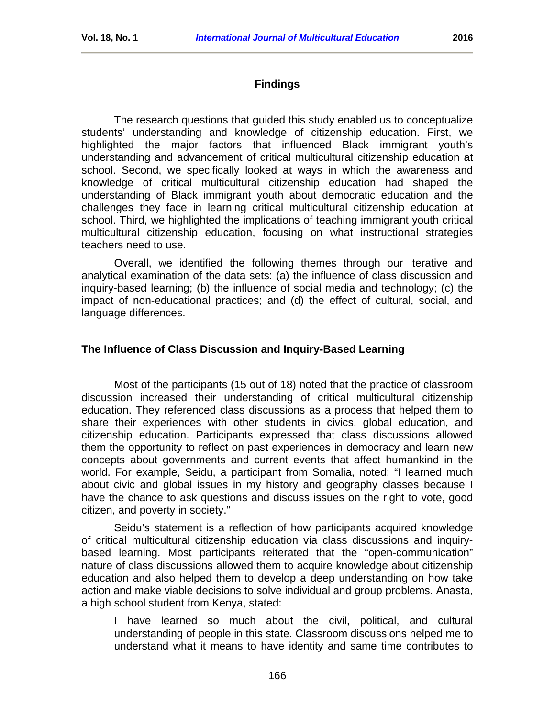## **Findings**

<span id="page-8-0"></span>The research questions that guided this study enabled us to conceptualize students' understanding and knowledge of citizenship education. First, we highlighted the major factors that influenced Black immigrant youth's understanding and advancement of critical multicultural citizenship education at school. Second, we specifically looked at ways in which the awareness and knowledge of critical multicultural citizenship education had shaped the understanding of Black immigrant youth about democratic education and the challenges they face in learning critical multicultural citizenship education at school. Third, we highlighted the implications of teaching immigrant youth critical multicultural citizenship education, focusing on what instructional strategies teachers need to use.

Overall, we identified the following themes through our iterative and analytical examination of the data sets: (a) the influence of class discussion and inquiry-based learning; (b) the influence of social media and technology; (c) the impact of non-educational practices; and (d) the effect of cultural, social, and language differences.

### **The Influence of Class Discussion and Inquiry-Based Learning**

Most of the participants (15 out of 18) noted that the practice of classroom discussion increased their understanding of critical multicultural citizenship education. They referenced class discussions as a process that helped them to share their experiences with other students in civics, global education, and citizenship education. Participants expressed that class discussions allowed them the opportunity to reflect on past experiences in democracy and learn new concepts about governments and current events that affect humankind in the world. For example, Seidu, a participant from Somalia, noted: "I learned much about civic and global issues in my history and geography classes because I have the chance to ask questions and discuss issues on the right to vote, good citizen, and poverty in society."

Seidu's statement is a reflection of how participants acquired knowledge of critical multicultural citizenship education via class discussions and inquirybased learning. Most participants reiterated that the "open-communication" nature of class discussions allowed them to acquire knowledge about citizenship education and also helped them to develop a deep understanding on how take action and make viable decisions to solve individual and group problems. Anasta, a high school student from Kenya, stated:

I have learned so much about the civil, political, and cultural understanding of people in this state. Classroom discussions helped me to understand what it means to have identity and same time contributes to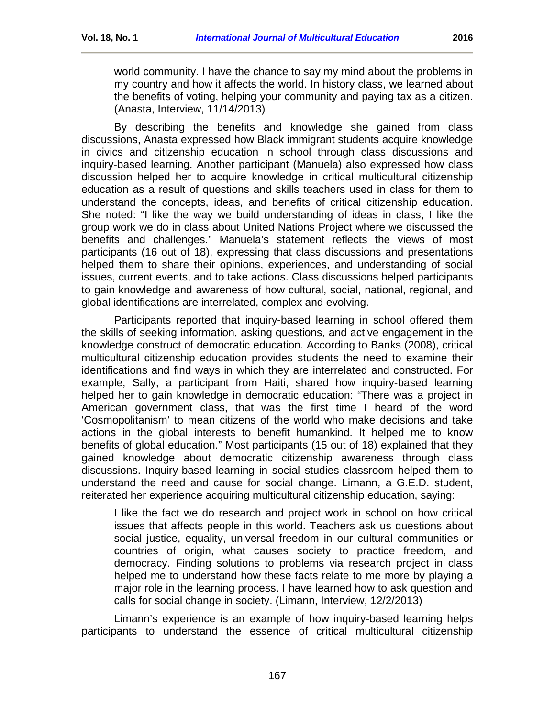world community. I have the chance to say my mind about the problems in my country and how it affects the world. In history class, we learned about the benefits of voting, helping your community and paying tax as a citizen. (Anasta, Interview, 11/14/2013)

By describing the benefits and knowledge she gained from class discussions, Anasta expressed how Black immigrant students acquire knowledge in civics and citizenship education in school through class discussions and inquiry-based learning. Another participant (Manuela) also expressed how class discussion helped her to acquire knowledge in critical multicultural citizenship education as a result of questions and skills teachers used in class for them to understand the concepts, ideas, and benefits of critical citizenship education. She noted: "I like the way we build understanding of ideas in class, I like the group work we do in class about United Nations Project where we discussed the benefits and challenges." Manuela's statement reflects the views of most participants (16 out of 18), expressing that class discussions and presentations helped them to share their opinions, experiences, and understanding of social issues, current events, and to take actions. Class discussions helped participants to gain knowledge and awareness of how cultural, social, national, regional, and global identifications are interrelated, complex and evolving.

Participants reported that inquiry-based learning in school offered them the skills of seeking information, asking questions, and active engagement in the knowledge construct of democratic education. According to Banks (2008), critical multicultural citizenship education provides students the need to examine their identifications and find ways in which they are interrelated and constructed. For example, Sally, a participant from Haiti, shared how inquiry-based learning helped her to gain knowledge in democratic education: "There was a project in American government class, that was the first time I heard of the word 'Cosmopolitanism' to mean citizens of the world who make decisions and take actions in the global interests to benefit humankind. It helped me to know benefits of global education." Most participants (15 out of 18) explained that they gained knowledge about democratic citizenship awareness through class discussions. Inquiry-based learning in social studies classroom helped them to understand the need and cause for social change. Limann, a G.E.D. student, reiterated her experience acquiring multicultural citizenship education, saying:

I like the fact we do research and project work in school on how critical issues that affects people in this world. Teachers ask us questions about social justice, equality, universal freedom in our cultural communities or countries of origin, what causes society to practice freedom, and democracy. Finding solutions to problems via research project in class helped me to understand how these facts relate to me more by playing a major role in the learning process. I have learned how to ask question and calls for social change in society. (Limann, Interview, 12/2/2013)

Limann's experience is an example of how inquiry-based learning helps participants to understand the essence of critical multicultural citizenship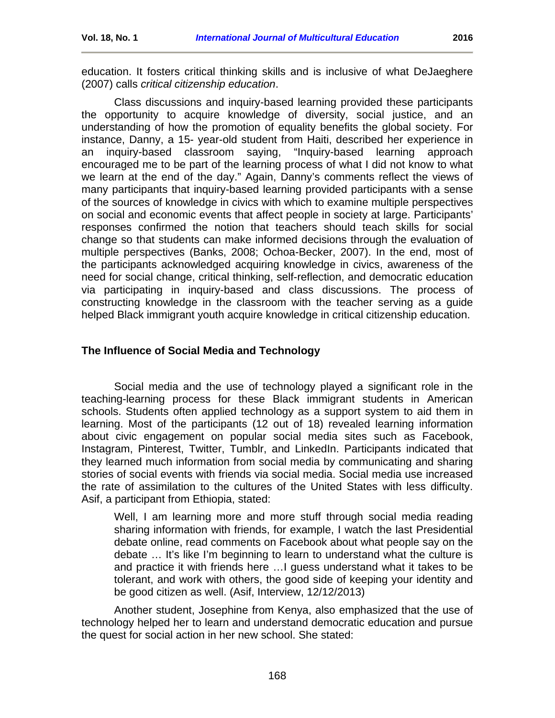education. It fosters critical thinking skills and is inclusive of what DeJaeghere (2007) calls *critical citizenship education*.

Class discussions and inquiry-based learning provided these participants the opportunity to acquire knowledge of diversity, social justice, and an understanding of how the promotion of equality benefits the global society. For instance, Danny, a 15- year-old student from Haiti, described her experience in an inquiry-based classroom saying, "Inquiry-based learning approach encouraged me to be part of the learning process of what I did not know to what we learn at the end of the day." Again, Danny's comments reflect the views of many participants that inquiry-based learning provided participants with a sense of the sources of knowledge in civics with which to examine multiple perspectives on social and economic events that affect people in society at large. Participants' responses confirmed the notion that teachers should teach skills for social change so that students can make informed decisions through the evaluation of multiple perspectives (Banks, 2008; Ochoa-Becker, 2007). In the end, most of the participants acknowledged acquiring knowledge in civics, awareness of the need for social change, critical thinking, self-reflection, and democratic education via participating in inquiry-based and class discussions. The process of constructing knowledge in the classroom with the teacher serving as a guide helped Black immigrant youth acquire knowledge in critical citizenship education.

### **The Influence of Social Media and Technology**

Social media and the use of technology played a significant role in the teaching-learning process for these Black immigrant students in American schools. Students often applied technology as a support system to aid them in learning. Most of the participants (12 out of 18) revealed learning information about civic engagement on popular social media sites such as Facebook, Instagram, Pinterest, Twitter, Tumblr, and LinkedIn. Participants indicated that they learned much information from social media by communicating and sharing stories of social events with friends via social media. Social media use increased the rate of assimilation to the cultures of the United States with less difficulty. Asif, a participant from Ethiopia, stated:

Well, I am learning more and more stuff through social media reading sharing information with friends, for example, I watch the last Presidential debate online, read comments on Facebook about what people say on the debate … It's like I'm beginning to learn to understand what the culture is and practice it with friends here …I guess understand what it takes to be tolerant, and work with others, the good side of keeping your identity and be good citizen as well. (Asif, Interview, 12/12/2013)

Another student, Josephine from Kenya, also emphasized that the use of technology helped her to learn and understand democratic education and pursue the quest for social action in her new school. She stated: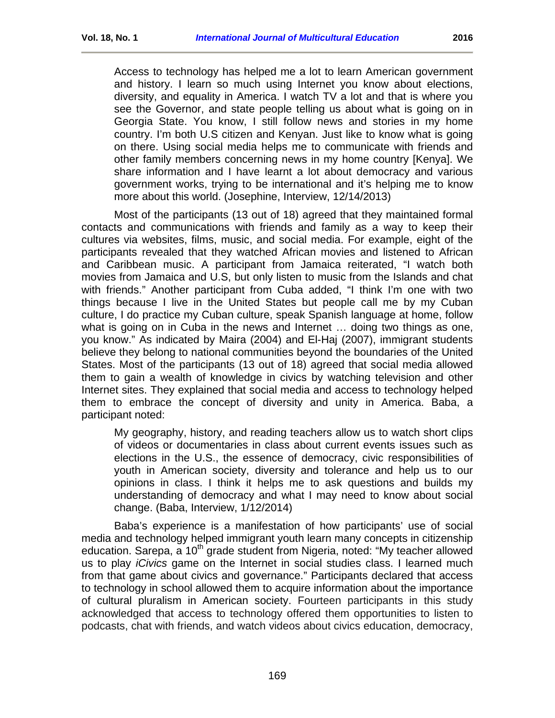Access to technology has helped me a lot to learn American government and history. I learn so much using Internet you know about elections, diversity, and equality in America. I watch TV a lot and that is where you see the Governor, and state people telling us about what is going on in Georgia State. You know, I still follow news and stories in my home country. I'm both U.S citizen and Kenyan. Just like to know what is going on there. Using social media helps me to communicate with friends and other family members concerning news in my home country [Kenya]. We share information and I have learnt a lot about democracy and various government works, trying to be international and it's helping me to know more about this world. (Josephine, Interview, 12/14/2013)

Most of the participants (13 out of 18) agreed that they maintained formal contacts and communications with friends and family as a way to keep their cultures via websites, films, music, and social media. For example, eight of the participants revealed that they watched African movies and listened to African and Caribbean music. A participant from Jamaica reiterated, "I watch both movies from Jamaica and U.S, but only listen to music from the Islands and chat with friends." Another participant from Cuba added, "I think I'm one with two things because I live in the United States but people call me by my Cuban culture, I do practice my Cuban culture, speak Spanish language at home, follow what is going on in Cuba in the news and Internet … doing two things as one, you know." As indicated by Maira (2004) and El-Haj (2007), immigrant students believe they belong to national communities beyond the boundaries of the United States. Most of the participants (13 out of 18) agreed that social media allowed them to gain a wealth of knowledge in civics by watching television and other Internet sites. They explained that social media and access to technology helped them to embrace the concept of diversity and unity in America. Baba, a participant noted:

My geography, history, and reading teachers allow us to watch short clips of videos or documentaries in class about current events issues such as elections in the U.S., the essence of democracy, civic responsibilities of youth in American society, diversity and tolerance and help us to our opinions in class. I think it helps me to ask questions and builds my understanding of democracy and what I may need to know about social change. (Baba, Interview, 1/12/2014)

Baba's experience is a manifestation of how participants' use of social media and technology helped immigrant youth learn many concepts in citizenship education. Sarepa, a 10<sup>th</sup> grade student from Nigeria, noted: "My teacher allowed us to play *iCivics* game on the Internet in social studies class. I learned much from that game about civics and governance." Participants declared that access to technology in school allowed them to acquire information about the importance of cultural pluralism in American society. Fourteen participants in this study acknowledged that access to technology offered them opportunities to listen to podcasts, chat with friends, and watch videos about civics education, democracy,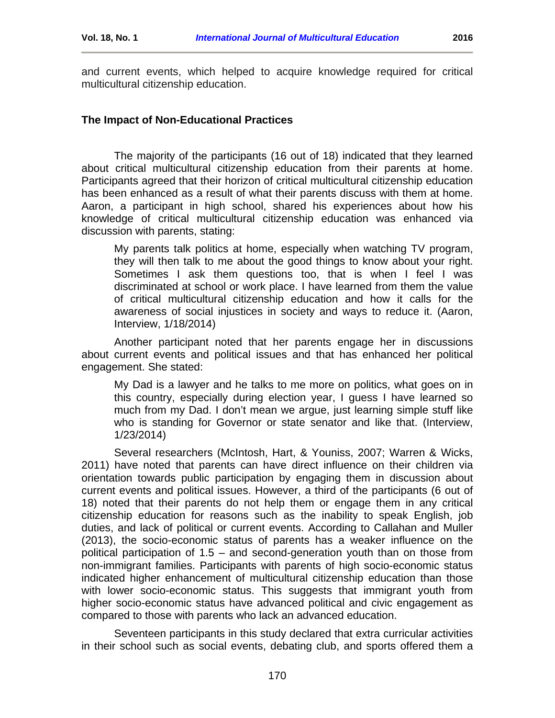and current events, which helped to acquire knowledge required for critical multicultural citizenship education.

#### **The Impact of Non-Educational Practices**

The majority of the participants (16 out of 18) indicated that they learned about critical multicultural citizenship education from their parents at home. Participants agreed that their horizon of critical multicultural citizenship education has been enhanced as a result of what their parents discuss with them at home. Aaron, a participant in high school, shared his experiences about how his knowledge of critical multicultural citizenship education was enhanced via discussion with parents, stating:

My parents talk politics at home, especially when watching TV program, they will then talk to me about the good things to know about your right. Sometimes I ask them questions too, that is when I feel I was discriminated at school or work place. I have learned from them the value of critical multicultural citizenship education and how it calls for the awareness of social injustices in society and ways to reduce it. (Aaron, Interview, 1/18/2014)

Another participant noted that her parents engage her in discussions about current events and political issues and that has enhanced her political engagement. She stated:

My Dad is a lawyer and he talks to me more on politics, what goes on in this country, especially during election year, I guess I have learned so much from my Dad. I don't mean we argue, just learning simple stuff like who is standing for Governor or state senator and like that. (Interview, 1/23/2014)

Several researchers (McIntosh, Hart, & Youniss, 2007; Warren & Wicks, 2011) have noted that parents can have direct influence on their children via orientation towards public participation by engaging them in discussion about current events and political issues. However, a third of the participants (6 out of 18) noted that their parents do not help them or engage them in any critical citizenship education for reasons such as the inability to speak English, job duties, and lack of political or current events. According to Callahan and Muller (2013), the socio-economic status of parents has a weaker influence on the political participation of 1.5 – and second-generation youth than on those from non-immigrant families. Participants with parents of high socio-economic status indicated higher enhancement of multicultural citizenship education than those with lower socio-economic status. This suggests that immigrant youth from higher socio-economic status have advanced political and civic engagement as compared to those with parents who lack an advanced education.

Seventeen participants in this study declared that extra curricular activities in their school such as social events, debating club, and sports offered them a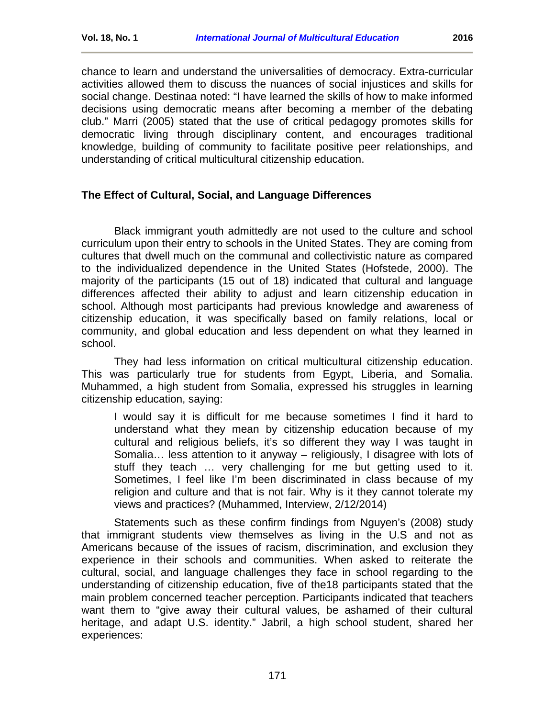chance to learn and understand the universalities of democracy. Extra-curricular activities allowed them to discuss the nuances of social injustices and skills for social change. Destinaa noted: "I have learned the skills of how to make informed decisions using democratic means after becoming a member of the debating club." Marri (2005) stated that the use of critical pedagogy promotes skills for democratic living through disciplinary content, and encourages traditional knowledge, building of community to facilitate positive peer relationships, and understanding of critical multicultural citizenship education.

### **The Effect of Cultural, Social, and Language Differences**

Black immigrant youth admittedly are not used to the culture and school curriculum upon their entry to schools in the United States. They are coming from cultures that dwell much on the communal and collectivistic nature as compared to the individualized dependence in the United States (Hofstede, 2000). The majority of the participants (15 out of 18) indicated that cultural and language differences affected their ability to adjust and learn citizenship education in school. Although most participants had previous knowledge and awareness of citizenship education, it was specifically based on family relations, local or community, and global education and less dependent on what they learned in school.

They had less information on critical multicultural citizenship education. This was particularly true for students from Egypt, Liberia, and Somalia. Muhammed, a high student from Somalia, expressed his struggles in learning citizenship education, saying:

I would say it is difficult for me because sometimes I find it hard to understand what they mean by citizenship education because of my cultural and religious beliefs, it's so different they way I was taught in Somalia… less attention to it anyway – religiously, I disagree with lots of stuff they teach … very challenging for me but getting used to it. Sometimes, I feel like I'm been discriminated in class because of my religion and culture and that is not fair. Why is it they cannot tolerate my views and practices? (Muhammed, Interview, 2/12/2014)

Statements such as these confirm findings from Nguyen's (2008) study that immigrant students view themselves as living in the U.S and not as Americans because of the issues of racism, discrimination, and exclusion they experience in their schools and communities. When asked to reiterate the cultural, social, and language challenges they face in school regarding to the understanding of citizenship education, five of the18 participants stated that the main problem concerned teacher perception. Participants indicated that teachers want them to "give away their cultural values, be ashamed of their cultural heritage, and adapt U.S. identity." Jabril, a high school student, shared her experiences: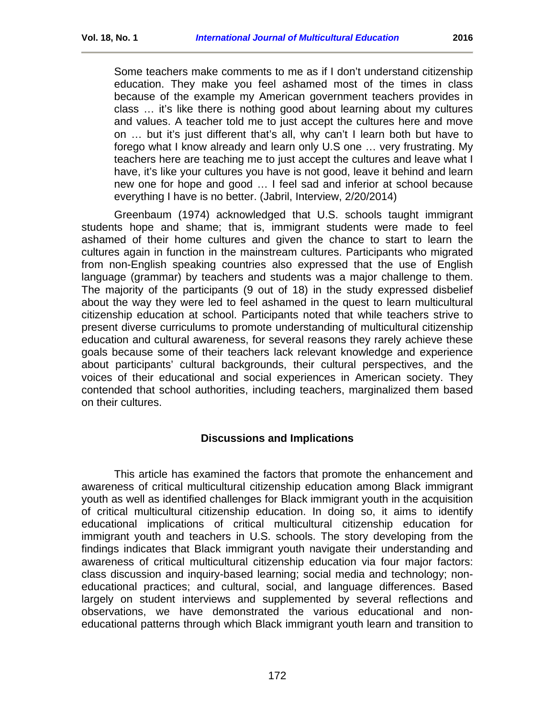Some teachers make comments to me as if I don't understand citizenship education. They make you feel ashamed most of the times in class because of the example my American government teachers provides in class … it's like there is nothing good about learning about my cultures and values. A teacher told me to just accept the cultures here and move on … but it's just different that's all, why can't I learn both but have to forego what I know already and learn only U.S one … very frustrating. My teachers here are teaching me to just accept the cultures and leave what I have, it's like your cultures you have is not good, leave it behind and learn new one for hope and good … I feel sad and inferior at school because everything I have is no better. (Jabril, Interview, 2/20/2014)

Greenbaum (1974) acknowledged that U.S. schools taught immigrant students hope and shame; that is, immigrant students were made to feel ashamed of their home cultures and given the chance to start to learn the cultures again in function in the mainstream cultures. Participants who migrated from non-English speaking countries also expressed that the use of English language (grammar) by teachers and students was a major challenge to them. The majority of the participants (9 out of 18) in the study expressed disbelief about the way they were led to feel ashamed in the quest to learn multicultural citizenship education at school. Participants noted that while teachers strive to present diverse curriculums to promote understanding of multicultural citizenship education and cultural awareness, for several reasons they rarely achieve these goals because some of their teachers lack relevant knowledge and experience about participants' cultural backgrounds, their cultural perspectives, and the voices of their educational and social experiences in American society. They contended that school authorities, including teachers, marginalized them based on their cultures.

### **Discussions and Implications**

<span id="page-14-0"></span>This article has examined the factors that promote the enhancement and awareness of critical multicultural citizenship education among Black immigrant youth as well as identified challenges for Black immigrant youth in the acquisition of critical multicultural citizenship education. In doing so, it aims to identify educational implications of critical multicultural citizenship education for immigrant youth and teachers in U.S. schools. The story developing from the findings indicates that Black immigrant youth navigate their understanding and awareness of critical multicultural citizenship education via four major factors: class discussion and inquiry-based learning; social media and technology; noneducational practices; and cultural, social, and language differences. Based largely on student interviews and supplemented by several reflections and observations, we have demonstrated the various educational and noneducational patterns through which Black immigrant youth learn and transition to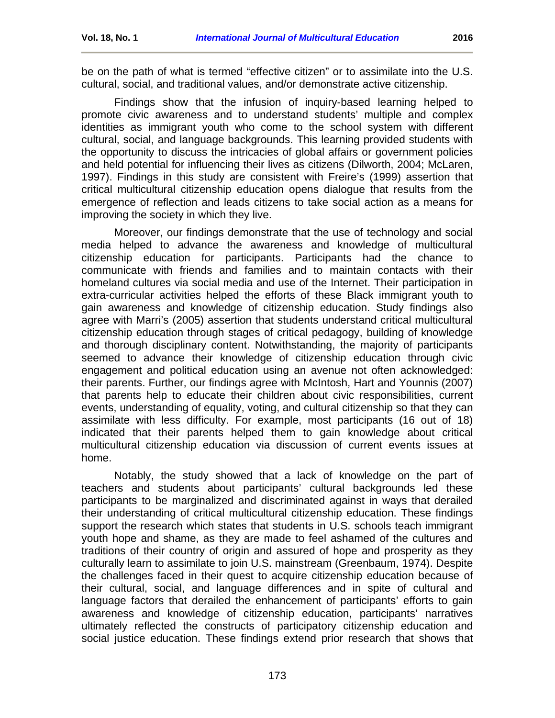be on the path of what is termed "effective citizen" or to assimilate into the U.S. cultural, social, and traditional values, and/or demonstrate active citizenship.

Findings show that the infusion of inquiry-based learning helped to promote civic awareness and to understand students' multiple and complex identities as immigrant youth who come to the school system with different cultural, social, and language backgrounds. This learning provided students with the opportunity to discuss the intricacies of global affairs or government policies and held potential for influencing their lives as citizens (Dilworth, 2004; McLaren, 1997). Findings in this study are consistent with Freire's (1999) assertion that critical multicultural citizenship education opens dialogue that results from the emergence of reflection and leads citizens to take social action as a means for improving the society in which they live.

Moreover, our findings demonstrate that the use of technology and social media helped to advance the awareness and knowledge of multicultural citizenship education for participants. Participants had the chance to communicate with friends and families and to maintain contacts with their homeland cultures via social media and use of the Internet. Their participation in extra-curricular activities helped the efforts of these Black immigrant youth to gain awareness and knowledge of citizenship education. Study findings also agree with Marri's (2005) assertion that students understand critical multicultural citizenship education through stages of critical pedagogy, building of knowledge and thorough disciplinary content. Notwithstanding, the majority of participants seemed to advance their knowledge of citizenship education through civic engagement and political education using an avenue not often acknowledged: their parents. Further, our findings agree with McIntosh, Hart and Younnis (2007) that parents help to educate their children about civic responsibilities, current events, understanding of equality, voting, and cultural citizenship so that they can assimilate with less difficulty. For example, most participants (16 out of 18) indicated that their parents helped them to gain knowledge about critical multicultural citizenship education via discussion of current events issues at home.

Notably, the study showed that a lack of knowledge on the part of teachers and students about participants' cultural backgrounds led these participants to be marginalized and discriminated against in ways that derailed their understanding of critical multicultural citizenship education. These findings support the research which states that students in U.S. schools teach immigrant youth hope and shame, as they are made to feel ashamed of the cultures and traditions of their country of origin and assured of hope and prosperity as they culturally learn to assimilate to join U.S. mainstream (Greenbaum, 1974). Despite the challenges faced in their quest to acquire citizenship education because of their cultural, social, and language differences and in spite of cultural and language factors that derailed the enhancement of participants' efforts to gain awareness and knowledge of citizenship education, participants' narratives ultimately reflected the constructs of participatory citizenship education and social justice education. These findings extend prior research that shows that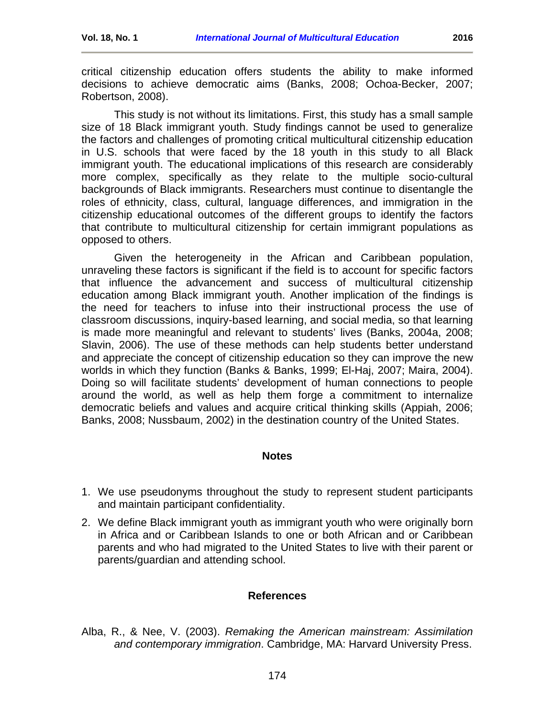critical citizenship education offers students the ability to make informed decisions to achieve democratic aims (Banks, 2008; Ochoa-Becker, 2007; Robertson, 2008).

This study is not without its limitations. First, this study has a small sample size of 18 Black immigrant youth. Study findings cannot be used to generalize the factors and challenges of promoting critical multicultural citizenship education in U.S. schools that were faced by the 18 youth in this study to all Black immigrant youth. The educational implications of this research are considerably more complex, specifically as they relate to the multiple socio-cultural backgrounds of Black immigrants. Researchers must continue to disentangle the roles of ethnicity, class, cultural, language differences, and immigration in the citizenship educational outcomes of the different groups to identify the factors that contribute to multicultural citizenship for certain immigrant populations as opposed to others.

Given the heterogeneity in the African and Caribbean population, unraveling these factors is significant if the field is to account for specific factors that influence the advancement and success of multicultural citizenship education among Black immigrant youth. Another implication of the findings is the need for teachers to infuse into their instructional process the use of classroom discussions, inquiry-based learning, and social media, so that learning is made more meaningful and relevant to students' lives (Banks, 2004a, 2008; Slavin, 2006). The use of these methods can help students better understand and appreciate the concept of citizenship education so they can improve the new worlds in which they function (Banks & Banks, 1999; El-Haj, 2007; Maira, 2004). Doing so will facilitate students' development of human connections to people around the world, as well as help them forge a commitment to internalize democratic beliefs and values and acquire critical thinking skills (Appiah, 2006; Banks, 2008; Nussbaum, 2002) in the destination country of the United States.

### **Notes**

- <span id="page-16-0"></span>1. We use pseudonyms throughout the study to represent student participants and maintain participant confidentiality.
- 2. We define Black immigrant youth as immigrant youth who were originally born in Africa and or Caribbean Islands to one or both African and or Caribbean parents and who had migrated to the United States to live with their parent or parents/guardian and attending school.

#### **References**

<span id="page-16-1"></span>Alba, R., & Nee, V. (2003). *Remaking the American mainstream: Assimilation and contemporary immigration*. Cambridge, MA: Harvard University Press.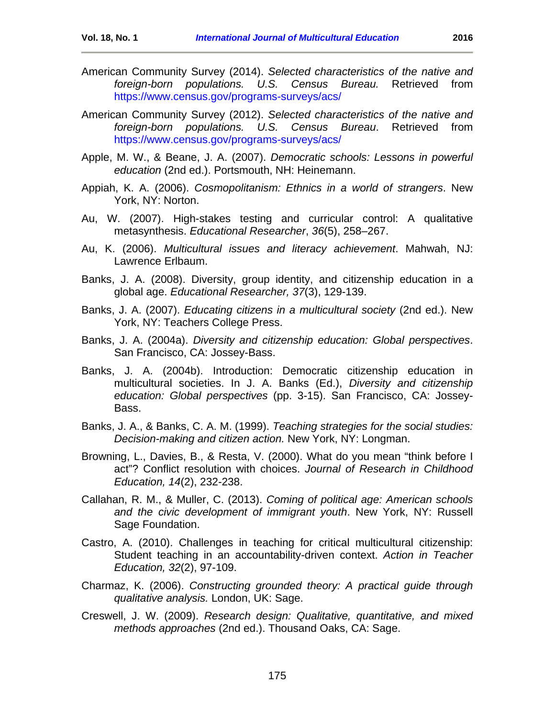- American Community Survey (2014). *Selected characteristics of the native and foreign-born populations. U.S. Census Bureau.* Retrieved from <https://www.census.gov/programs-surveys/acs/>
- American Community Survey (2012). *Selected characteristics of the native and foreign-born populations. U.S. Census Bureau*. Retrieved from <https://www.census.gov/programs-surveys/acs/>
- Apple, M. W., & Beane, J. A. (2007). *Democratic schools: Lessons in powerful education* (2nd ed.). Portsmouth, NH: Heinemann.
- Appiah, K. A. (2006). *Cosmopolitanism: Ethnics in a world of strangers*. New York, NY: Norton.
- Au, W. (2007). High-stakes testing and curricular control: A qualitative metasynthesis. *Educational Researcher*, *36*(5), 258–267.
- Au, K. (2006). *Multicultural issues and literacy achievement*. Mahwah, NJ: Lawrence Erlbaum.
- Banks, J. A. (2008). Diversity, group identity, and citizenship education in a global age. *Educational Researcher, 37*(3), 129-139.
- Banks, J. A. (2007). *Educating citizens in a multicultural society* (2nd ed.). New York, NY: Teachers College Press.
- Banks, J. A. (2004a). *Diversity and citizenship education: Global perspectives*. San Francisco, CA: Jossey-Bass.
- Banks, J. A. (2004b). Introduction: Democratic citizenship education in multicultural societies. In J. A. Banks (Ed.), *Diversity and citizenship education: Global perspectives* (pp. 3-15). San Francisco, CA: Jossey-Bass.
- Banks, J. A., & Banks, C. A. M. (1999). *Teaching strategies for the social studies: Decision-making and citizen action.* New York, NY: Longman.
- Browning, L., Davies, B., & Resta, V. (2000). What do you mean "think before I act"? Conflict resolution with choices. *Journal of Research in Childhood Education, 14*(2), 232-238.
- Callahan, R. M., & Muller, C. (2013). *Coming of political age: American schools and the civic development of immigrant youth*. New York, NY: Russell Sage Foundation.
- Castro, A. (2010). Challenges in teaching for critical multicultural citizenship: Student teaching in an accountability-driven context. *Action in Teacher Education, 32*(2), 97-109.
- Charmaz, K. (2006). *Constructing grounded theory: A practical guide through qualitative analysis.* London, UK: Sage.
- Creswell, J. W. (2009). *Research design: Qualitative, quantitative, and mixed methods approaches* (2nd ed.). Thousand Oaks, CA: Sage.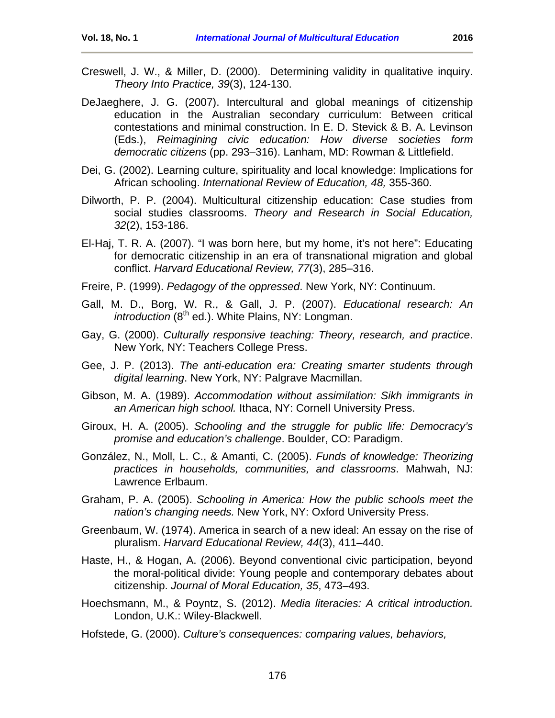- Creswell, J. W., & Miller, D. (2000). Determining validity in qualitative inquiry. *Theory Into Practice, 39*(3), 124-130.
- DeJaeghere, J. G. (2007). Intercultural and global meanings of citizenship education in the Australian secondary curriculum: Between critical contestations and minimal construction. In E. D. Stevick & B. A. Levinson (Eds.), *Reimagining civic education: How diverse societies form democratic citizens* (pp. 293–316). Lanham, MD: Rowman & Littlefield.
- Dei, G. (2002). Learning culture, spirituality and local knowledge: Implications for African schooling. *International Review of Education, 48,* 355-360.
- Dilworth, P. P. (2004). Multicultural citizenship education: Case studies from social studies classrooms. *Theory and Research in Social Education, 32*(2), 153-186.
- El-Haj, T. R. A. (2007). "I was born here, but my home, it's not here": Educating for democratic citizenship in an era of transnational migration and global conflict. *Harvard Educational Review, 77*(3), 285–316.
- Freire, P. (1999). *Pedagogy of the oppressed*. New York, NY: Continuum.
- Gall, M. D., Borg, W. R., & Gall, J. P. (2007). *Educational research: An introduction* (8<sup>th</sup> ed.). White Plains, NY: Longman.
- Gay, G. (2000). *Culturally responsive teaching: Theory, research, and practice*. New York, NY: Teachers College Press.
- Gee, J. P. (2013). *The anti-education era: Creating smarter students through digital learning*. New York, NY: Palgrave Macmillan.
- Gibson, M. A. (1989). *Accommodation without assimilation: Sikh immigrants in an American high school.* Ithaca, NY: Cornell University Press.
- Giroux, H. A. (2005). *Schooling and the struggle for public life: Democracy's promise and education's challenge*. Boulder, CO: Paradigm.
- González, N., Moll, L. C., & Amanti, C. (2005). *Funds of knowledge: Theorizing practices in households, communities, and classrooms*. Mahwah, NJ: Lawrence Erlbaum.
- Graham, P. A. (2005). *Schooling in America: How the public schools meet the nation's changing needs.* New York, NY: Oxford University Press.
- Greenbaum, W. (1974). America in search of a new ideal: An essay on the rise of pluralism. *Harvard Educational Review, 44*(3), 411–440.
- Haste, H., & Hogan, A. (2006). Beyond conventional civic participation, beyond the moral-political divide: Young people and contemporary debates about citizenship. *Journal of Moral Education, 35*, 473–493.
- Hoechsmann, M., & Poyntz, S. (2012). *Media literacies: A critical introduction.*  London, U.K.: Wiley-Blackwell.
- Hofstede, G. (2000). *Culture's consequences: comparing values, behaviors,*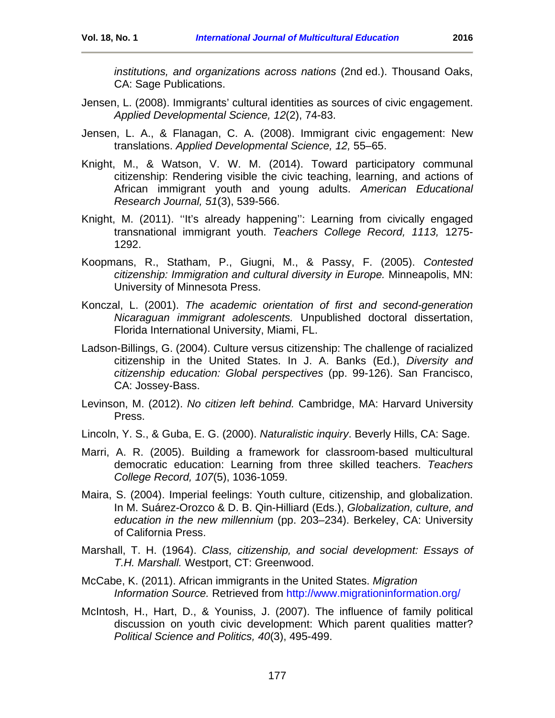- Jensen, L. (2008). Immigrants' cultural identities as sources of civic engagement. *Applied Developmental Science, 12*(2), 74-83.
- Jensen, L. A., & Flanagan, C. A. (2008). Immigrant civic engagement: New translations. *Applied Developmental Science, 12,* 55–65.
- Knight, M., & Watson, V. W. M. (2014). Toward participatory communal citizenship: Rendering visible the civic teaching, learning, and actions of African immigrant youth and young adults. *American Educational Research Journal, 51*(3), 539-566.
- Knight, M. (2011). ''It's already happening'': Learning from civically engaged transnational immigrant youth. *Teachers College Record, 1113,* 1275- 1292.
- Koopmans, R., Statham, P., Giugni, M., & Passy, F. (2005). *Contested citizenship: Immigration and cultural diversity in Europe.* Minneapolis, MN: University of Minnesota Press.
- Konczal, L. (2001). *The academic orientation of first and second-generation Nicaraguan immigrant adolescents.* Unpublished doctoral dissertation, Florida International University, Miami, FL.
- Ladson-Billings, G. (2004). Culture versus citizenship: The challenge of racialized citizenship in the United States. In J. A. Banks (Ed.), *Diversity and citizenship education: Global perspectives* (pp. 99-126). San Francisco, CA: Jossey-Bass.
- Levinson, M. (2012). *No citizen left behind.* Cambridge, MA: Harvard University Press.
- Lincoln, Y. S., & Guba, E. G. (2000). *Naturalistic inquiry*. Beverly Hills, CA: Sage.
- Marri, A. R. (2005). Building a framework for classroom-based multicultural democratic education: Learning from three skilled teachers. *Teachers College Record, 107*(5), 1036-1059.
- Maira, S. (2004). Imperial feelings: Youth culture, citizenship, and globalization. In M. Suárez-Orozco & D. B. Qin-Hilliard (Eds.), *Globalization, culture, and education in the new millennium* (pp. 203–234). Berkeley, CA: University of California Press.
- Marshall, T. H. (1964). *Class, citizenship, and social development: Essays of T.H. Marshall.* Westport, CT: Greenwood.
- McCabe, K. (2011). African immigrants in the United States. *Migration Information Source.* Retrieved from<http://www.migrationinformation.org/>
- McIntosh, H., Hart, D., & Youniss, J. (2007). The influence of family political discussion on youth civic development: Which parent qualities matter? *Political Science and Politics, 40*(3), 495-499.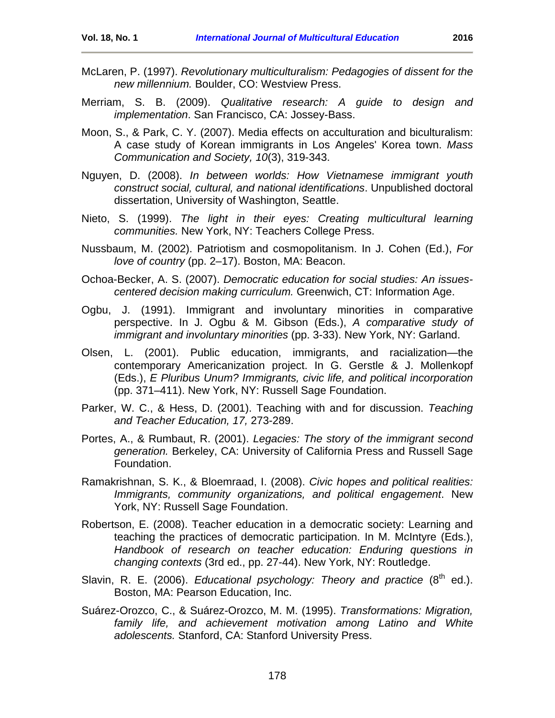- McLaren, P. (1997). *Revolutionary multiculturalism: Pedagogies of dissent for the new millennium.* Boulder, CO: Westview Press.
- Merriam, S. B. (2009). *Qualitative research: A guide to design and implementation*. San Francisco, CA: Jossey-Bass.
- Moon, S., & Park, C. Y. (2007). Media effects on acculturation and biculturalism: A case study of Korean immigrants in Los Angeles' Korea town. *Mass Communication and Society, 10*(3), 319-343.
- Nguyen, D. (2008). *In between worlds: How Vietnamese immigrant youth construct social, cultural, and national identifications*. Unpublished doctoral dissertation, University of Washington, Seattle.
- Nieto, S. (1999). *The light in their eyes: Creating multicultural learning communities.* New York, NY: Teachers College Press.
- Nussbaum, M. (2002). Patriotism and cosmopolitanism. In J. Cohen (Ed.), *For love of country* (pp. 2–17). Boston, MA: Beacon.
- Ochoa-Becker, A. S. (2007). *Democratic education for social studies: An issuescentered decision making curriculum.* Greenwich, CT: Information Age.
- Ogbu, J. (1991). Immigrant and involuntary minorities in comparative perspective. In J. Ogbu & M. Gibson (Eds.), *A comparative study of immigrant and involuntary minorities* (pp. 3-33). New York, NY: Garland.
- Olsen, L. (2001). Public education, immigrants, and racialization—the contemporary Americanization project. In G. Gerstle & J. Mollenkopf (Eds.), *E Pluribus Unum? Immigrants, civic life, and political incorporation* (pp. 371–411). New York, NY: Russell Sage Foundation.
- Parker, W. C., & Hess, D. (2001). Teaching with and for discussion. *Teaching and Teacher Education, 17,* 273-289.
- Portes, A., & Rumbaut, R. (2001). *Legacies: The story of the immigrant second generation.* Berkeley, CA: University of California Press and Russell Sage Foundation.
- Ramakrishnan, S. K., & Bloemraad, I. (2008). *Civic hopes and political realities: Immigrants, community organizations, and political engagement*. New York, NY: Russell Sage Foundation.
- Robertson, E. (2008). Teacher education in a democratic society: Learning and teaching the practices of democratic participation. In M. McIntyre (Eds.), *Handbook of research on teacher education: Enduring questions in changing contexts* (3rd ed., pp. 27-44). New York, NY: Routledge.
- Slavin, R. E. (2006). *Educational psychology: Theory and practice* (8<sup>th</sup> ed.). Boston, MA: Pearson Education, Inc.
- Suárez-Orozco, C., & Suárez-Orozco, M. M. (1995). *Transformations: Migration,*  family life, and achievement motivation among Latino and White *adolescents.* Stanford, CA: Stanford University Press.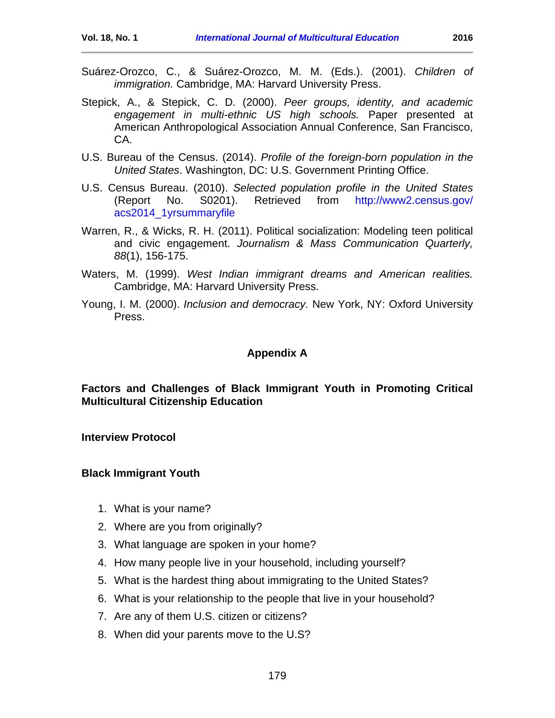- Suárez-Orozco, C., & Suárez-Orozco, M. M. (Eds.). (2001). *Children of immigration.* Cambridge, MA: Harvard University Press.
- Stepick, A., & Stepick, C. D. (2000). *Peer groups, identity, and academic engagement in multi-ethnic US high schools.* Paper presented at American Anthropological Association Annual Conference, San Francisco, CA.
- U.S. Bureau of the Census. (2014). *Profile of the foreign-born population in the United States*. Washington, DC: U.S. Government Printing Office.
- U.S. Census Bureau. (2010). *Selected population profile in the United States*  (Report No. S0201). Retrieved from [http://www2.census.gov/](http://www2.census.gov/%20acs2014_1yrsummaryfile)  [acs2014\\_1yrsummaryfile](http://www2.census.gov/%20acs2014_1yrsummaryfile)
- Warren, R., & Wicks, R. H. (2011). Political socialization: Modeling teen political and civic engagement. *Journalism & Mass Communication Quarterly, 88*(1), 156-175.
- Waters, M. (1999). *West Indian immigrant dreams and American realities.* Cambridge, MA: Harvard University Press.
- Young, I. M. (2000). *Inclusion and democracy.* New York, NY: Oxford University Press.

### **Appendix A**

<span id="page-21-0"></span>**Factors and Challenges of Black Immigrant Youth in Promoting Critical Multicultural Citizenship Education** 

**Interview Protocol**

#### **Black Immigrant Youth**

- 1. What is your name?
- 2. Where are you from originally?
- 3. What language are spoken in your home?
- 4. How many people live in your household, including yourself?
- 5. What is the hardest thing about immigrating to the United States?
- 6. What is your relationship to the people that live in your household?
- 7. Are any of them U.S. citizen or citizens?
- 8. When did your parents move to the U.S?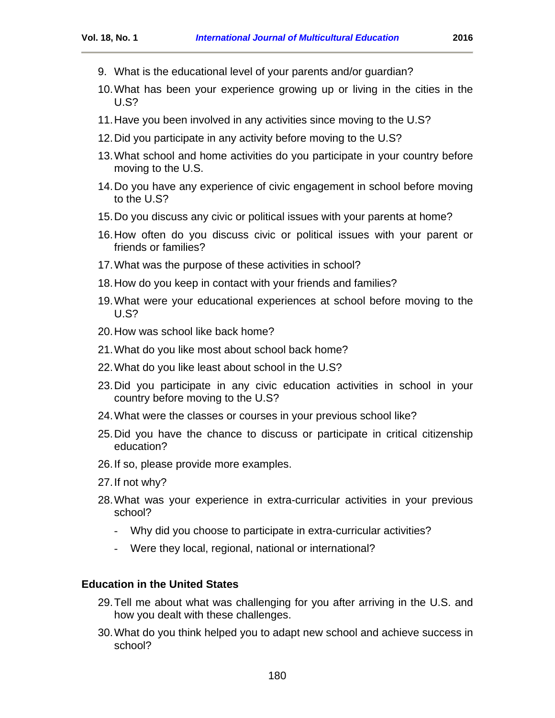- 9. What is the educational level of your parents and/or guardian?
- 10.What has been your experience growing up or living in the cities in the U.S?
- 11.Have you been involved in any activities since moving to the U.S?
- 12.Did you participate in any activity before moving to the U.S?
- 13.What school and home activities do you participate in your country before moving to the U.S.
- 14.Do you have any experience of civic engagement in school before moving to the U.S?
- 15.Do you discuss any civic or political issues with your parents at home?
- 16.How often do you discuss civic or political issues with your parent or friends or families?
- 17.What was the purpose of these activities in school?
- 18.How do you keep in contact with your friends and families?
- 19.What were your educational experiences at school before moving to the U.S?
- 20.How was school like back home?
- 21.What do you like most about school back home?
- 22.What do you like least about school in the U.S?
- 23.Did you participate in any civic education activities in school in your country before moving to the U.S?
- 24.What were the classes or courses in your previous school like?
- 25.Did you have the chance to discuss or participate in critical citizenship education?
- 26.If so, please provide more examples.
- 27.If not why?
- 28.What was your experience in extra-curricular activities in your previous school?
	- Why did you choose to participate in extra-curricular activities?
	- Were they local, regional, national or international?

#### **Education in the United States**

- 29.Tell me about what was challenging for you after arriving in the U.S. and how you dealt with these challenges.
- 30.What do you think helped you to adapt new school and achieve success in school?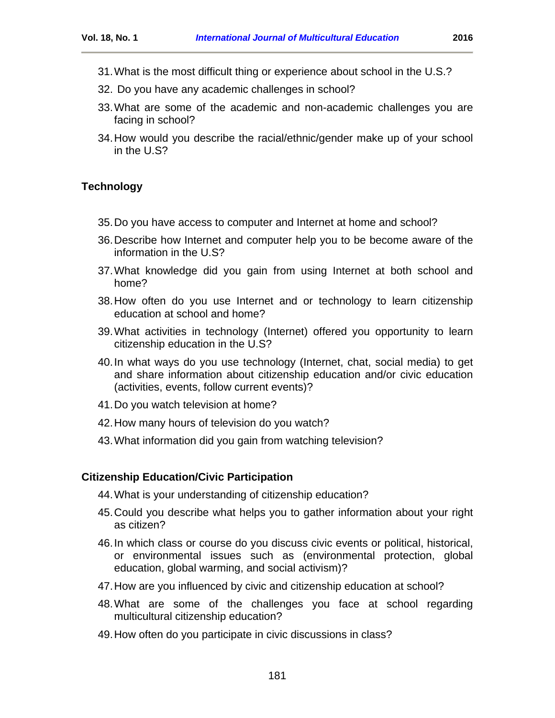- 31.What is the most difficult thing or experience about school in the U.S.?
- 32. Do you have any academic challenges in school?
- 33.What are some of the academic and non-academic challenges you are facing in school?
- 34.How would you describe the racial/ethnic/gender make up of your school in the U.S?

## **Technology**

- 35.Do you have access to computer and Internet at home and school?
- 36.Describe how Internet and computer help you to be become aware of the information in the U.S?
- 37.What knowledge did you gain from using Internet at both school and home?
- 38.How often do you use Internet and or technology to learn citizenship education at school and home?
- 39.What activities in technology (Internet) offered you opportunity to learn citizenship education in the U.S?
- 40.In what ways do you use technology (Internet, chat, social media) to get and share information about citizenship education and/or civic education (activities, events, follow current events)?
- 41.Do you watch television at home?
- 42.How many hours of television do you watch?
- 43.What information did you gain from watching television?

#### **Citizenship Education/Civic Participation**

- 44.What is your understanding of citizenship education?
- 45.Could you describe what helps you to gather information about your right as citizen?
- 46.In which class or course do you discuss civic events or political, historical, or environmental issues such as (environmental protection, global education, global warming, and social activism)?
- 47.How are you influenced by civic and citizenship education at school?
- 48.What are some of the challenges you face at school regarding multicultural citizenship education?
- 49.How often do you participate in civic discussions in class?